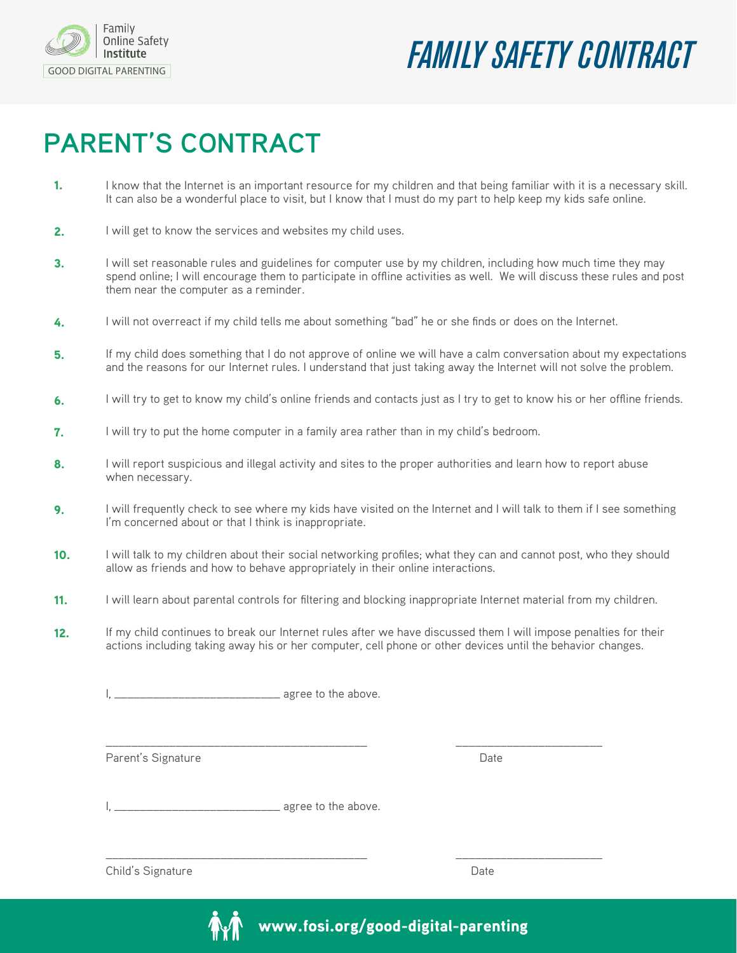

## *CONTRACT* Institute Safety **FAMILY SAFETY CONTRACT**

## **PARENT'S CONTRACT**

- I know that the Internet is an important resource for my children and that being familiar with it is a necessary skill. It can also be a wonderful place to visit, but I know that I must do my part to help keep my kids safe online. 1.
- I will get to know the services and websites my child uses. 2.
- I will set reasonable rules and guidelines for computer use by my children, including how much time they may spend online; I will encourage them to participate in offline activities as well. We will discuss these rules and post them near the computer as a reminder. 3.
- I will not overreact if my child tells me about something "bad" he or she finds or does on the Internet. 4.
- If my child does something that I do not approve of online we will have a calm conversation about my expectations and the reasons for our Internet rules. I understand that just taking away the Internet will not solve the problem. 5.
- I will try to get to know my child's online friends and contacts just as I try to get to know his or her offline friends. 6.
- I will try to put the home computer in a family area rather than in my child's bedroom. 7.
- I will report suspicious and illegal activity and sites to the proper authorities and learn how to report abuse when necessary. 8.
- I will frequently check to see where my kids have visited on the Internet and I will talk to them if I see something I'm concerned about or that I think is inappropriate. 9.
- I will talk to my children about their social networking profiles; what they can and cannot post, who they should allow as friends and how to behave appropriately in their online interactions. 10.
- I will learn about parental controls for filtering and blocking inappropriate Internet material from my children. 11.
- If my child continues to break our Internet rules after we have discussed them I will impose penalties for their actions including taking away his or her computer, cell phone or other devices until the behavior changes. 12.

\_\_\_\_\_\_\_\_\_\_\_\_\_\_\_\_\_\_\_\_\_\_\_\_\_\_\_\_\_\_\_\_\_\_\_\_\_\_\_\_\_ \_\_\_\_\_\_\_\_\_\_\_\_\_\_\_\_\_\_\_\_\_\_\_

\_\_\_\_\_\_\_\_\_\_\_\_\_\_\_\_\_\_\_\_\_\_\_\_\_\_\_\_\_\_\_\_\_\_\_\_\_\_\_\_\_ \_\_\_\_\_\_\_\_\_\_\_\_\_\_\_\_\_\_\_\_\_\_\_

I, agree to the above.

Parent's Signature Date Date of the Date of the Date Date of the Date of the Date of the Date of the Date of the Date of the Date of the Date of the Date of the Date of the Date of the Date of the Date of the Date of the D

I, agree to the above.

Child's Signature Date